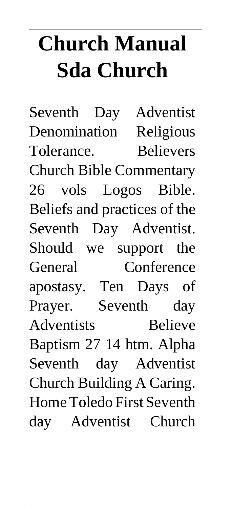# **Church Manual Sda Church**

Seventh Day Adventist Denomination Religious Tolerance. Believers Church Bible Commentary 26 vols Logos Bible. Beliefs and practices of the Seventh Day Adventist. Should we support the General Conference apostasy. Ten Days of Prayer. Seventh day Adventists Believe Baptism 27 14 htm. Alpha Seventh day Adventist Church Building A Caring. Home Toledo First Seventh day Adventist Church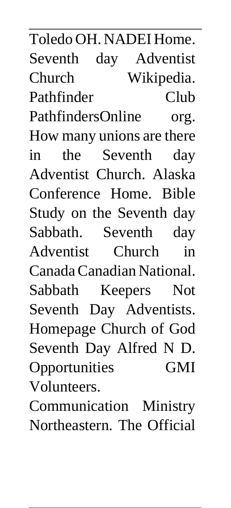Toledo OH. NADEI Home. Seventh day Adventist Church Wikipedia. Pathfinder Club PathfindersOnline org. How many unions are there in the Seventh day Adventist Church. Alaska Conference Home. Bible Study on the Seventh day Sabbath. Seventh day Adventist Church in Canada Canadian National. Sabbath Keepers Not Seventh Day Adventists. Homepage Church of God Seventh Day Alfred N D. Opportunities GMI Volunteers.

Communication Ministry Northeastern. The Official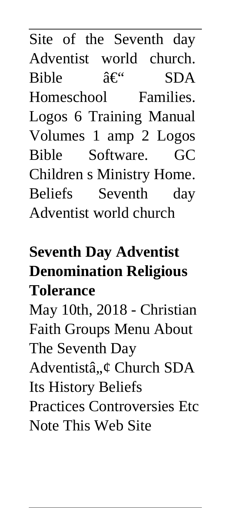Site of the Seventh day Adventist world church. Bible  $\hat{a} \in \mathcal{C}$  SDA Homeschool Families. Logos 6 Training Manual Volumes 1 amp 2 Logos Bible Software. GC Children s Ministry Home. Beliefs Seventh day Adventist world church

#### **Seventh Day Adventist Denomination Religious Tolerance**

May 10th, 2018 - Christian Faith Groups Menu About The Seventh Day Adventistâ, ¢ Church SDA

Its History Beliefs Practices Controversies Etc

Note This Web Site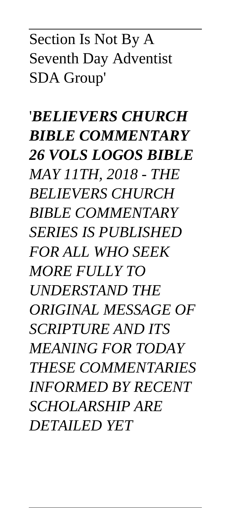#### Section Is Not By A Seventh Day Adventist SDA Group'

'*BELIEVERS CHURCH BIBLE COMMENTARY 26 VOLS LOGOS BIBLE MAY 11TH, 2018 - THE BELIEVERS CHURCH BIBLE COMMENTARY SERIES IS PUBLISHED FOR ALL WHO SEEK MORE FULLY TO UNDERSTAND THE ORIGINAL MESSAGE OF SCRIPTURE AND ITS MEANING FOR TODAY THESE COMMENTARIES INFORMED BY RECENT SCHOLARSHIP ARE DETAILED YET*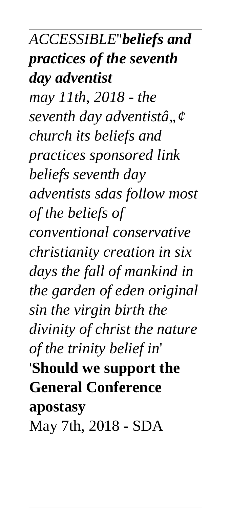*ACCESSIBLE*''*beliefs and practices of the seventh day adventist may 11th, 2018 - the seventh day adventistâ"¢ church its beliefs and practices sponsored link beliefs seventh day adventists sdas follow most of the beliefs of conventional conservative christianity creation in six days the fall of mankind in the garden of eden original sin the virgin birth the divinity of christ the nature of the trinity belief in*' '**Should we support the General Conference apostasy** May 7th, 2018 - SDA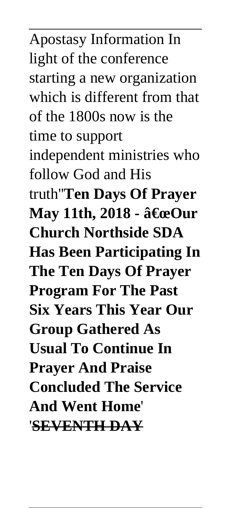Apostasy Information In light of the conference starting a new organization which is different from that of the 1800s now is the time to support independent ministries who follow God and His truth''**Ten Days Of Prayer May 11th, 2018 - "Our Church Northside SDA Has Been Participating In The Ten Days Of Prayer Program For The Past Six Years This Year Our Group Gathered As Usual To Continue In Prayer And Praise Concluded The Service And Went Home**' '**SEVENTH DAY**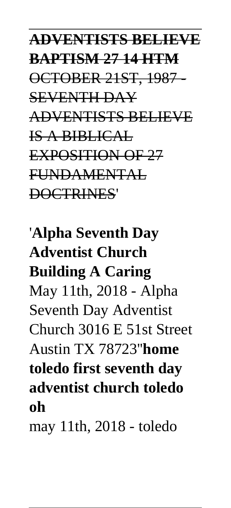#### **ADVENTISTS BELIEVE BAPTISM 27 14 HTM** OCTOBER 21ST, 1987 - SEVENTH DAY ADVENTISTS BELIEVE IS A BIBLICAL EXPOSITION OF 27 FUNDAMENTAL DOCTRINES'

### '**Alpha Seventh Day Adventist Church Building A Caring** May 11th, 2018 - Alpha Seventh Day Adventist Church 3016 E 51st Street Austin TX 78723''**home toledo first seventh day adventist church toledo oh**

may 11th, 2018 - toledo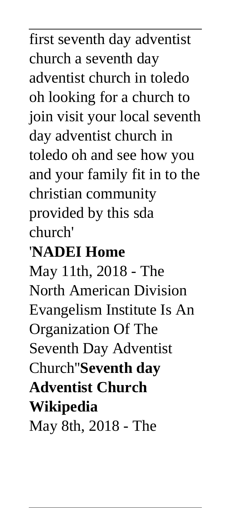first seventh day adventist church a seventh day adventist church in toledo oh looking for a church to join visit your local seventh day adventist church in toledo oh and see how you and your family fit in to the christian community provided by this sda church'

#### '**NADEI Home**

May 11th, 2018 - The North American Division Evangelism Institute Is An Organization Of The Seventh Day Adventist Church''**Seventh day Adventist Church Wikipedia** May 8th, 2018 - The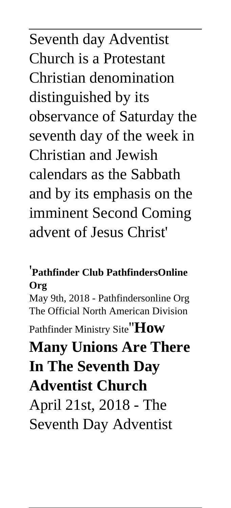Seventh day Adventist Church is a Protestant Christian denomination distinguished by its observance of Saturday the seventh day of the week in Christian and Jewish calendars as the Sabbath and by its emphasis on the imminent Second Coming advent of Jesus Christ'

#### '**Pathfinder Club PathfindersOnline Org**

May 9th, 2018 - Pathfindersonline Org The Official North American Division

Pathfinder Ministry Site''**How**

## **Many Unions Are There In The Seventh Day Adventist Church**

April 21st, 2018 - The Seventh Day Adventist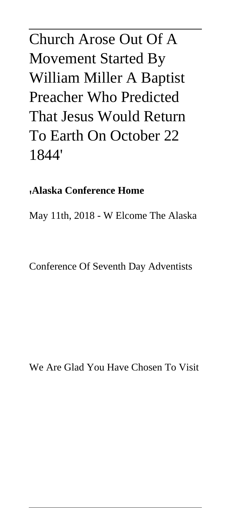#### Church Arose Out Of A Movement Started By William Miller A Baptist Preacher Who Predicted That Jesus Would Return To Earth On October 22 1844'

#### '**Alaska Conference Home**

May 11th, 2018 - W Elcome The Alaska

Conference Of Seventh Day Adventists

We Are Glad You Have Chosen To Visit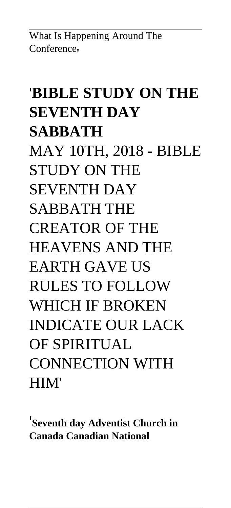What Is Happening Around The Conference<sub>1</sub>

### '**BIBLE STUDY ON THE SEVENTH DAY SABBATH** MAY 10TH, 2018 - BIBLE STUDY ON THE SEVENTH DAY SABBATH THE CREATOR OF THE HEAVENS AND THE EARTH GAVE US RULES TO FOLLOW WHICH IF BROKEN INDICATE OUR LACK OF SPIRITUAL CONNECTION WITH HIM'

'**Seventh day Adventist Church in Canada Canadian National**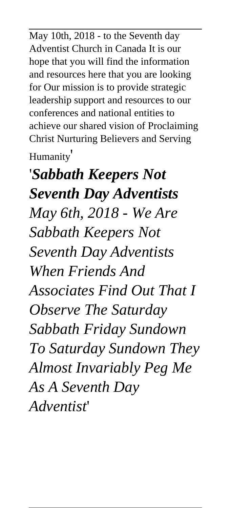May 10th, 2018 - to the Seventh day Adventist Church in Canada It is our hope that you will find the information and resources here that you are looking for Our mission is to provide strategic leadership support and resources to our conferences and national entities to achieve our shared vision of Proclaiming Christ Nurturing Believers and Serving

Humanity'

'*Sabbath Keepers Not Seventh Day Adventists May 6th, 2018 - We Are Sabbath Keepers Not Seventh Day Adventists When Friends And Associates Find Out That I Observe The Saturday Sabbath Friday Sundown To Saturday Sundown They Almost Invariably Peg Me As A Seventh Day Adventist*'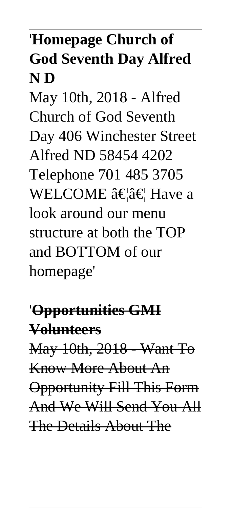#### '**Homepage Church of God Seventh Day Alfred N D**

May 10th, 2018 - Alfred Church of God Seventh Day 406 Winchester Street Alfred ND 58454 4202 Telephone 701 485 3705 WELCOME  $\hat{a}\in \hat{a}\in H$  Have a look around our menu structure at both the TOP and BOTTOM of our homepage'

'**Opportunities GMI Volunteers** May 10th, 2018 - Want To Know More About An Opportunity Fill This Form And We Will Send You All The Details About The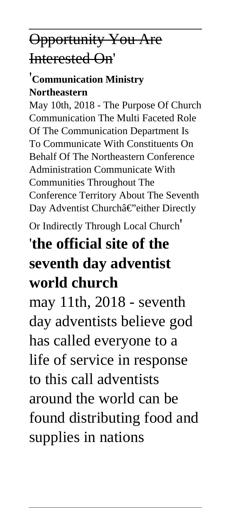#### Opportunity You Are Interested On'

#### '**Communication Ministry Northeastern**

May 10th, 2018 - The Purpose Of Church Communication The Multi Faceted Role Of The Communication Department Is To Communicate With Constituents On Behalf Of The Northeastern Conference Administration Communicate With Communities Throughout The Conference Territory About The Seventh Day Adventist Churchâ€"either Directly

Or Indirectly Through Local Church'

#### '**the official site of the seventh day adventist world church**

may 11th, 2018 - seventh day adventists believe god has called everyone to a life of service in response to this call adventists around the world can be found distributing food and supplies in nations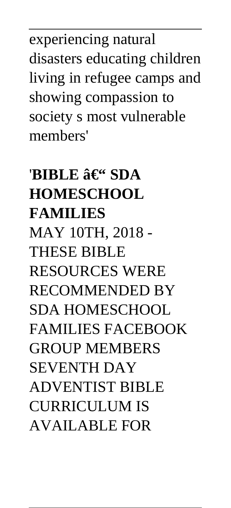experiencing natural disasters educating children living in refugee camps and showing compassion to society s most vulnerable members'

### $'BIBLE$   $\hat{a}\in$ " SDA **HOMESCHOOL FAMILIES** MAY 10TH, 2018 - THESE BIBLE RESOURCES WERE RECOMMENDED BY SDA HOMESCHOOL FAMILIES FACEBOOK GROUP MEMBERS SEVENTH DAY ADVENTIST BIBLE CURRICULUM IS AVAILABLE FOR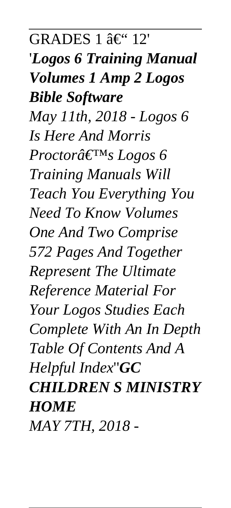$GRADES 1$   $\hat{a} \in$  "12" '*Logos 6 Training Manual Volumes 1 Amp 2 Logos Bible Software May 11th, 2018 - Logos 6 Is Here And Morris Proctorâ€*<sup>™</sup>s *Logos* 6 *Training Manuals Will Teach You Everything You Need To Know Volumes One And Two Comprise 572 Pages And Together Represent The Ultimate Reference Material For Your Logos Studies Each Complete With An In Depth Table Of Contents And A Helpful Index*''*GC CHILDREN S MINISTRY HOME MAY 7TH, 2018 -*